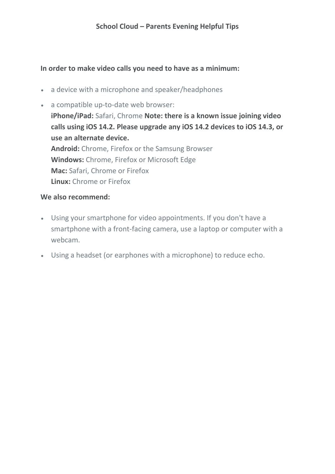#### **In order to make video calls you need to have as a minimum:**

• a device with a microphone and speaker/headphones

• a compatible up-to-date web browser: **iPhone/iPad:** Safari, Chrome **Note: there is a known issue joining video calls using iOS 14.2. Please upgrade any iOS 14.2 devices to iOS 14.3, or use an alternate device. Android:** Chrome, Firefox or the Samsung Browser **Windows:** Chrome, Firefox or Microsoft Edge **Mac:** Safari, Chrome or Firefox **Linux:** Chrome or Firefox

#### **We also recommend:**

- Using your smartphone for video appointments. If you don't have a smartphone with a front-facing camera, use a laptop or computer with a webcam.
- Using a headset (or earphones with a microphone) to reduce echo.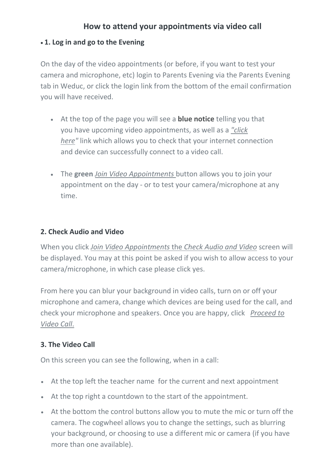# **How to attend your appointments via video call**

### • **1. Log in and go to the Evening**

On the day of the video appointments (or before, if you want to test your camera and microphone, etc) login to Parents Evening via the Parents Evening tab in Weduc, or click the login link from the bottom of the email confirmation you will have received.

- At the top of the page you will see a **blue notice** telling you that you have upcoming video appointments, as well as a *"click here"* link which allows you to check that your internet connection and device can successfully connect to a video call.
- The **green** *Join Video Appointments* button allows you to join your appointment on the day - or to test your camera/microphone at any time.

### **2. Check Audio and Video**

When you click *Join Video Appointments* the *Check Audio and Video* screen will be displayed. You may at this point be asked if you wish to allow access to your camera/microphone, in which case please click yes.

From here you can blur your background in video calls, turn on or off your microphone and camera, change which devices are being used for the call, and check your microphone and speakers. Once you are happy, click *Proceed to Video Call*.

## **3. The Video Call**

On this screen you can see the following, when in a call:

- At the top left the teacher name for the current and next appointment
- At the top right a countdown to the start of the appointment.
- At the bottom the control buttons allow you to mute the mic or turn off the camera. The cogwheel allows you to change the settings, such as blurring your background, or choosing to use a different mic or camera (if you have more than one available).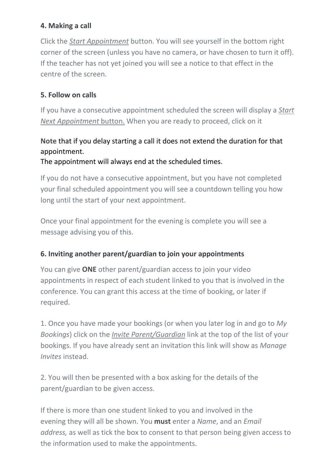### **4. Making a call**

Click the *Start Appointment* button. You will see yourself in the bottom right corner of the screen (unless you have no camera, or have chosen to turn it off). If the teacher has not yet joined you will see a notice to that effect in the centre of the screen.

### **5. Follow on calls**

If you have a consecutive appointment scheduled the screen will display a *Start Next Appointment* button. When you are ready to proceed, click on it

# **Note** that if you delay starting a call it does **not** extend the duration for that appointment.

The appointment will always end at the scheduled times.

If you do not have a consecutive appointment, but you have not completed your final scheduled appointment you will see a countdown telling you how long until the start of your next appointment.

Once your final appointment for the evening is complete you will see a message advising you of this.

## **6. Inviting another parent/guardian to join your appointments**

You can give **ONE** other parent/guardian access to join your video appointments in respect of each student linked to you that is involved in the conference. You can grant this access at the time of booking, or later if required.

1. Once you have made your bookings (or when you later log in and go to *My Bookings*) click on the *Invite Parent/Guardian* link at the top of the list of your bookings. If you have already sent an invitation this link will show as *Manage Invites* instead.

2. You will then be presented with a box asking for the details of the parent/guardian to be given access.

If there is more than one student linked to you and involved in the evening they will all be shown. You **must** enter a *Name*, and an *Email address,* as well as tick the box to consent to that person being given access to the information used to make the appointments.